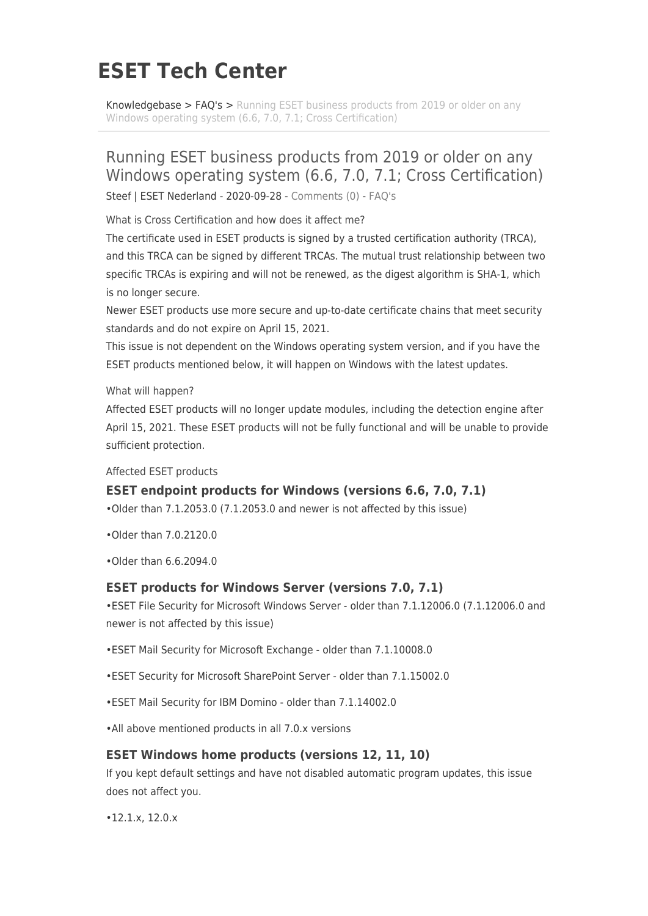# **ESET Tech Center**

[Knowledgebase](https://techcenter.eset.nl/en/kb) > [FAQ's](https://techcenter.eset.nl/en/kb/faq-s) > [Running ESET business products from 2019 or older on any](https://techcenter.eset.nl/en/kb/articles/running-eset-business-products-from-2019-or-older-on-any-windows-operating-system-6-6-7-0-7-1-) [Windows operating system \(6.6, 7.0, 7.1; Cross Certification\)](https://techcenter.eset.nl/en/kb/articles/running-eset-business-products-from-2019-or-older-on-any-windows-operating-system-6-6-7-0-7-1-)

## Running ESET business products from 2019 or older on any Windows operating system (6.6, 7.0, 7.1; Cross Certification)

Steef | ESET Nederland - 2020-09-28 - [Comments \(0\)](#page--1-0) - [FAQ's](https://techcenter.eset.nl/en/kb/faq-s)

What is Cross Certification and how does it affect me?

The certificate used in ESET products is signed by a trusted certification authority (TRCA), and this TRCA can be signed by different TRCAs. The mutual trust relationship between two specific TRCAs is expiring and will not be renewed, as the digest algorithm is SHA-1, which is no longer secure.

Newer ESET products use more secure and up-to-date certificate chains that meet security standards and do not expire on April 15, 2021.

This issue is not dependent on the Windows operating system version, and if you have the ESET products mentioned below, it will happen on Windows with the latest updates.

What will happen?

Affected ESET products will no longer update modules, including the detection engine after April 15, 2021. These ESET products will not be fully functional and will be unable to provide sufficient protection.

Affected ESET products

### **ESET endpoint products for Windows (versions 6.6, 7.0, 7.1)**

•Older than 7.1.2053.0 (7.1.2053.0 and newer is not affected by this issue)

•Older than 7.0.2120.0

•Older than 6.6.2094.0

### **ESET products for Windows Server (versions 7.0, 7.1)**

•ESET File Security for Microsoft Windows Server - older than 7.1.12006.0 (7.1.12006.0 and newer is not affected by this issue)

•ESET Mail Security for Microsoft Exchange - older than 7.1.10008.0

•ESET Security for Microsoft SharePoint Server - older than 7.1.15002.0

•ESET Mail Security for IBM Domino - older than 7.1.14002.0

•All above mentioned products in all 7.0.x versions

### **ESET Windows home products (versions 12, 11, 10)**

If you kept default settings and have not disabled automatic program updates, this issue does not affect you.

•12.1.x, 12.0.x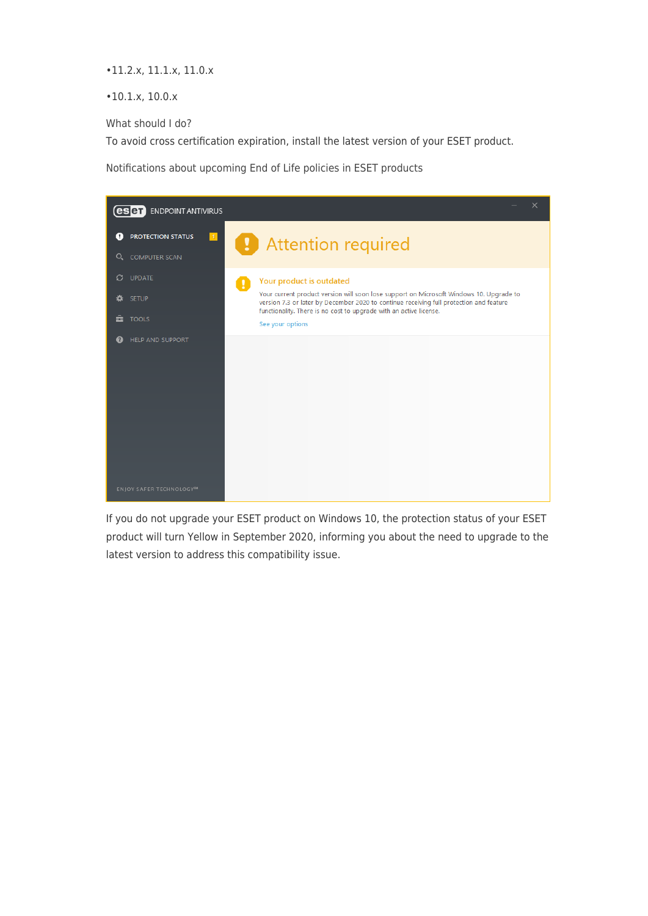•11.2.x, 11.1.x, 11.0.x

•10.1.x, 10.0.x

What should I do?

To avoid cross certification expiration, install the latest version of your ESET product.

Notifications about upcoming End of Life policies in ESET products



If you do not upgrade your ESET product on Windows 10, the protection status of your ESET product will turn Yellow in September 2020, informing you about the need to upgrade to the latest version to address this compatibility issue.